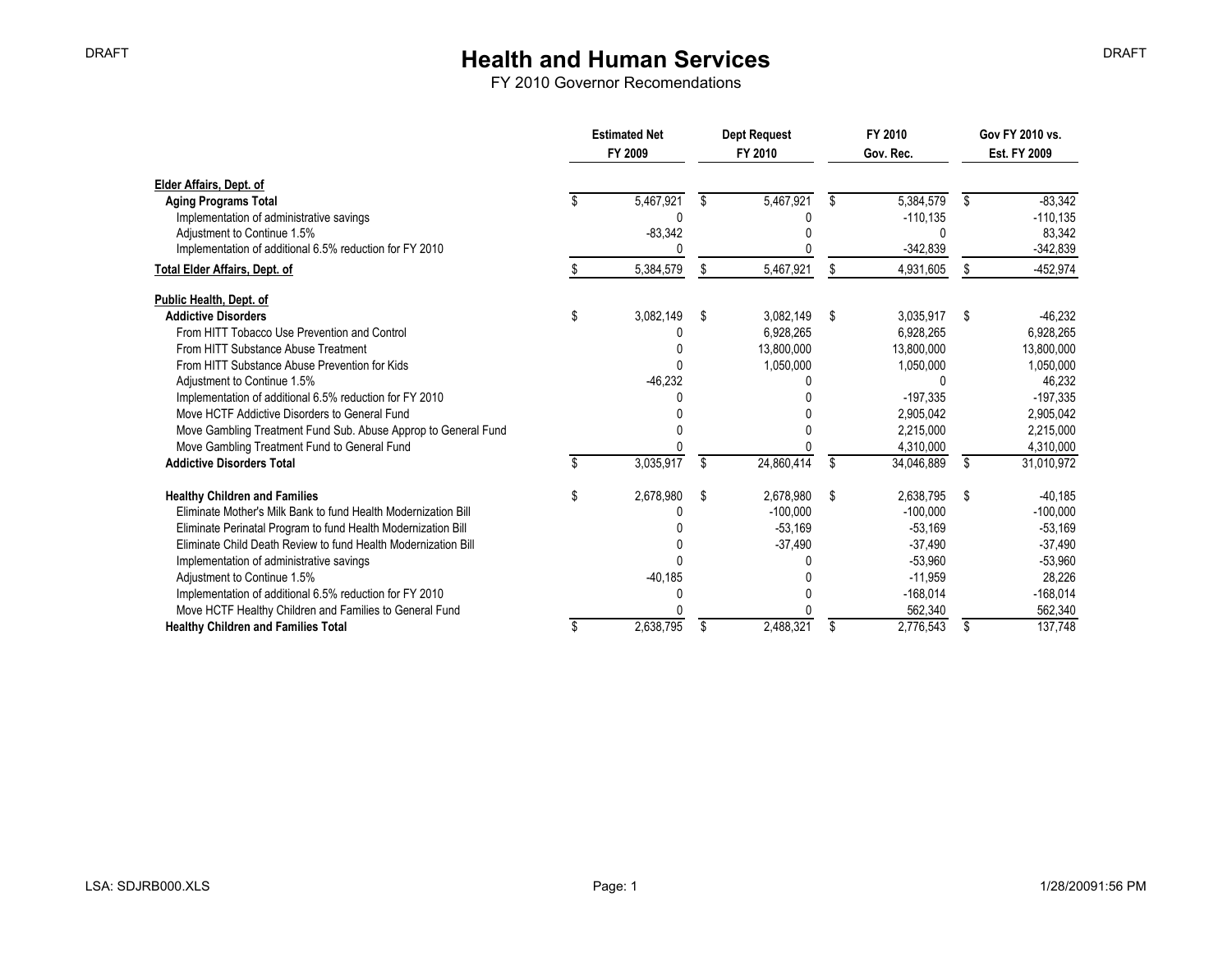|                                                                | <b>Estimated Net</b><br>FY 2009 |    | Dept Request<br>FY 2010<br>Gov. Rec. |      | FY 2010    | Gov FY 2010 vs.<br>Est. FY 2009 |             |
|----------------------------------------------------------------|---------------------------------|----|--------------------------------------|------|------------|---------------------------------|-------------|
| Elder Affairs, Dept. of                                        |                                 |    |                                      |      |            |                                 |             |
| <b>Aging Programs Total</b>                                    | 5,467,921                       | \$ | 5,467,921                            | S    | 5.384.579  | \$                              | $-83,342$   |
| Implementation of administrative savings                       |                                 |    |                                      |      | $-110,135$ |                                 | $-110, 135$ |
| Adjustment to Continue 1.5%                                    | $-83,342$                       |    |                                      |      |            |                                 | 83,342      |
| Implementation of additional 6.5% reduction for FY 2010        |                                 |    |                                      |      | $-342,839$ |                                 | $-342,839$  |
| <b>Total Elder Affairs, Dept. of</b>                           | 5,384,579                       | S  | 5,467,921                            | S    | 4,931,605  | \$.                             | $-452.974$  |
| Public Health, Dept. of                                        |                                 |    |                                      |      |            |                                 |             |
| <b>Addictive Disorders</b>                                     | \$<br>3,082,149                 | \$ | 3.082.149                            | - \$ | 3.035.917  | - \$                            | $-46.232$   |
| From HITT Tobacco Use Prevention and Control                   |                                 |    | 6,928,265                            |      | 6.928.265  |                                 | 6,928,265   |
| From HITT Substance Abuse Treatment                            |                                 |    | 13,800,000                           |      | 13,800,000 |                                 | 13,800,000  |
| From HITT Substance Abuse Prevention for Kids                  |                                 |    | 1,050,000                            |      | 1,050,000  |                                 | 1,050,000   |
| Adjustment to Continue 1.5%                                    | $-46,232$                       |    |                                      |      |            |                                 | 46,232      |
| Implementation of additional 6.5% reduction for FY 2010        |                                 |    |                                      |      | $-197,335$ |                                 | $-197,335$  |
| Move HCTF Addictive Disorders to General Fund                  |                                 |    |                                      |      | 2,905,042  |                                 | 2,905,042   |
| Move Gambling Treatment Fund Sub. Abuse Approp to General Fund |                                 |    |                                      |      | 2.215.000  |                                 | 2,215,000   |
| Move Gambling Treatment Fund to General Fund                   |                                 |    |                                      |      | 4.310.000  |                                 | 4,310,000   |
| <b>Addictive Disorders Total</b>                               | 3,035,917                       | \$ | 24,860,414                           | \$   | 34,046,889 | \$                              | 31,010,972  |
| <b>Healthy Children and Families</b>                           | \$<br>2,678,980                 | \$ | 2,678,980                            | - \$ | 2,638,795  | - \$                            | $-40,185$   |
| Eliminate Mother's Milk Bank to fund Health Modernization Bill |                                 |    | $-100.000$                           |      | $-100.000$ |                                 | $-100,000$  |
| Eliminate Perinatal Program to fund Health Modernization Bill  |                                 |    | $-53,169$                            |      | $-53,169$  |                                 | $-53,169$   |
| Eliminate Child Death Review to fund Health Modernization Bill |                                 |    | $-37,490$                            |      | $-37,490$  |                                 | $-37,490$   |
| Implementation of administrative savings                       |                                 |    |                                      |      | $-53,960$  |                                 | $-53,960$   |
| Adjustment to Continue 1.5%                                    | $-40,185$                       |    |                                      |      | $-11.959$  |                                 | 28,226      |
| Implementation of additional 6.5% reduction for FY 2010        |                                 |    |                                      |      | $-168,014$ |                                 | $-168,014$  |
| Move HCTF Healthy Children and Families to General Fund        |                                 |    |                                      |      | 562,340    |                                 | 562,340     |
| <b>Healthy Children and Families Total</b>                     | \$<br>2,638,795                 | \$ | 2.488.321                            | \$   | 2,776,543  | S                               | 137.748     |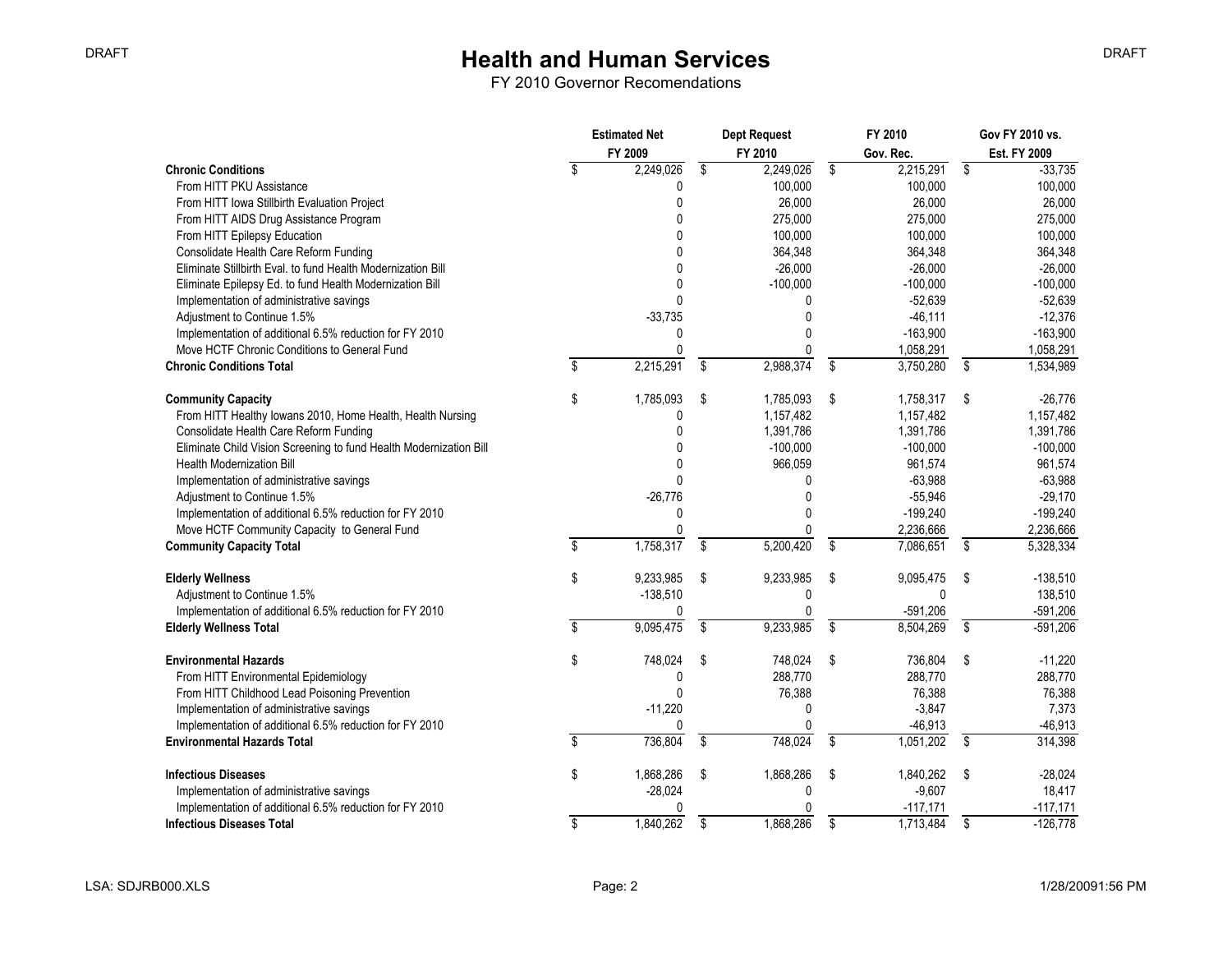|                                                                    | <b>Estimated Net</b><br>FY 2009 |                         | <b>Dept Request</b><br>FY 2010 |                          | FY 2010<br>Gov. Rec. |                         | Gov FY 2010 vs.<br>Est. FY 2009 |
|--------------------------------------------------------------------|---------------------------------|-------------------------|--------------------------------|--------------------------|----------------------|-------------------------|---------------------------------|
| <b>Chronic Conditions</b>                                          | \$<br>2,249,026                 | \$                      | 2,249,026                      | \$                       | 2,215,291            | \$                      | $-33,735$                       |
| From HITT PKU Assistance                                           | 0                               |                         | 100,000                        |                          | 100,000              |                         | 100,000                         |
| From HITT Iowa Stillbirth Evaluation Project                       | 0                               |                         | 26,000                         |                          | 26,000               |                         | 26,000                          |
| From HITT AIDS Drug Assistance Program                             | $\Omega$                        |                         | 275,000                        |                          | 275,000              |                         | 275,000                         |
| From HITT Epilepsy Education                                       | $\Omega$                        |                         | 100,000                        |                          | 100,000              |                         | 100,000                         |
| Consolidate Health Care Reform Funding                             | U                               |                         | 364,348                        |                          | 364,348              |                         | 364,348                         |
| Eliminate Stillbirth Eval. to fund Health Modernization Bill       | O                               |                         | $-26,000$                      |                          | $-26,000$            |                         | $-26,000$                       |
| Eliminate Epilepsy Ed. to fund Health Modernization Bill           | 0                               |                         | $-100,000$                     |                          | $-100,000$           |                         | $-100,000$                      |
| Implementation of administrative savings                           | $\mathbf{0}$                    |                         | 0                              |                          | $-52,639$            |                         | $-52,639$                       |
| Adjustment to Continue 1.5%                                        | $-33,735$                       |                         | $\mathbf{0}$                   |                          | $-46,111$            |                         | $-12,376$                       |
| Implementation of additional 6.5% reduction for FY 2010            | 0                               |                         | $\mathbf{0}$                   |                          | $-163,900$           |                         | $-163,900$                      |
| Move HCTF Chronic Conditions to General Fund                       | $\Omega$                        |                         | <sup>0</sup>                   |                          | 1,058,291            |                         | 1,058,291                       |
| <b>Chronic Conditions Total</b>                                    | \$<br>2,215,291                 | \$                      | 2,988,374                      | \$                       | 3,750,280            | $\overline{\$}$         | 1,534,989                       |
| <b>Community Capacity</b>                                          | \$<br>1,785,093                 | \$                      | 1,785,093                      | \$                       | 1,758,317            | Ŝ.                      | $-26,776$                       |
| From HITT Healthy Iowans 2010, Home Health, Health Nursing         | 0                               |                         | 1,157,482                      |                          | 1,157,482            |                         | 1,157,482                       |
| Consolidate Health Care Reform Funding                             | $\mathbf{0}$                    |                         | 1,391,786                      |                          | 1,391,786            |                         | 1,391,786                       |
| Eliminate Child Vision Screening to fund Health Modernization Bill | $\Omega$                        |                         | $-100,000$                     |                          | $-100,000$           |                         | $-100.000$                      |
| <b>Health Modernization Bill</b>                                   | $\mathbf{0}$                    |                         | 966,059                        |                          | 961,574              |                         | 961,574                         |
| Implementation of administrative savings                           | $\mathbf{0}$                    |                         | 0                              |                          | $-63,988$            |                         | $-63,988$                       |
| Adjustment to Continue 1.5%                                        | $-26,776$                       |                         | $\mathbf 0$                    |                          | $-55,946$            |                         | $-29,170$                       |
| Implementation of additional 6.5% reduction for FY 2010            | 0                               |                         | $\Omega$                       |                          | $-199,240$           |                         | $-199,240$                      |
| Move HCTF Community Capacity to General Fund                       | 0                               |                         | 0                              |                          | 2,236,666            |                         | 2,236,666                       |
| <b>Community Capacity Total</b>                                    | \$<br>1,758,317                 | \$                      | 5,200,420                      | Ŝ.                       | 7,086,651            | \$                      | 5,328,334                       |
| <b>Elderly Wellness</b>                                            | \$<br>9,233,985                 | \$                      | 9,233,985                      | \$                       | 9,095,475            | \$                      | $-138,510$                      |
| Adjustment to Continue 1.5%                                        | $-138,510$                      |                         | 0                              |                          | $\mathbf{0}$         |                         | 138,510                         |
| Implementation of additional 6.5% reduction for FY 2010            | 0                               |                         | $\mathbf{0}$                   |                          | $-591,206$           |                         | $-591,206$                      |
| <b>Elderly Wellness Total</b>                                      | \$<br>9,095,475                 | $\overline{\mathbf{s}}$ | 9,233,985                      | $\overline{\mathcal{S}}$ | 8,504,269            | $\overline{\mathbb{S}}$ | $-591,206$                      |
| <b>Environmental Hazards</b>                                       | \$<br>748,024                   | \$                      | 748,024                        | \$                       | 736,804              | \$                      | $-11,220$                       |
| From HITT Environmental Epidemiology                               | 0                               |                         | 288,770                        |                          | 288,770              |                         | 288,770                         |
| From HITT Childhood Lead Poisoning Prevention                      | $\mathbf{0}$                    |                         | 76,388                         |                          | 76,388               |                         | 76,388                          |
| Implementation of administrative savings                           | $-11,220$                       |                         | 0                              |                          | $-3,847$             |                         | 7,373                           |
| Implementation of additional 6.5% reduction for FY 2010            | 0                               |                         | $\mathbf{0}$                   |                          | $-46,913$            |                         | $-46,913$                       |
| <b>Environmental Hazards Total</b>                                 | \$<br>736,804                   | \$                      | 748,024                        | $\overline{\$}$          | 1,051,202            | $\overline{\$}$         | 314,398                         |
| <b>Infectious Diseases</b>                                         | \$<br>1,868,286                 | \$                      | 1,868,286                      | \$                       | 1,840,262            | \$                      | $-28,024$                       |
| Implementation of administrative savings                           | $-28,024$                       |                         | 0                              |                          | $-9,607$             |                         | 18,417                          |
| Implementation of additional 6.5% reduction for FY 2010            | 0                               |                         | 0                              |                          | $-117,171$           |                         | $-117,171$                      |
| <b>Infectious Diseases Total</b>                                   | \$<br>1,840,262                 | \$                      | 1,868,286                      | \$                       | 1,713,484            | \$                      | $-126,778$                      |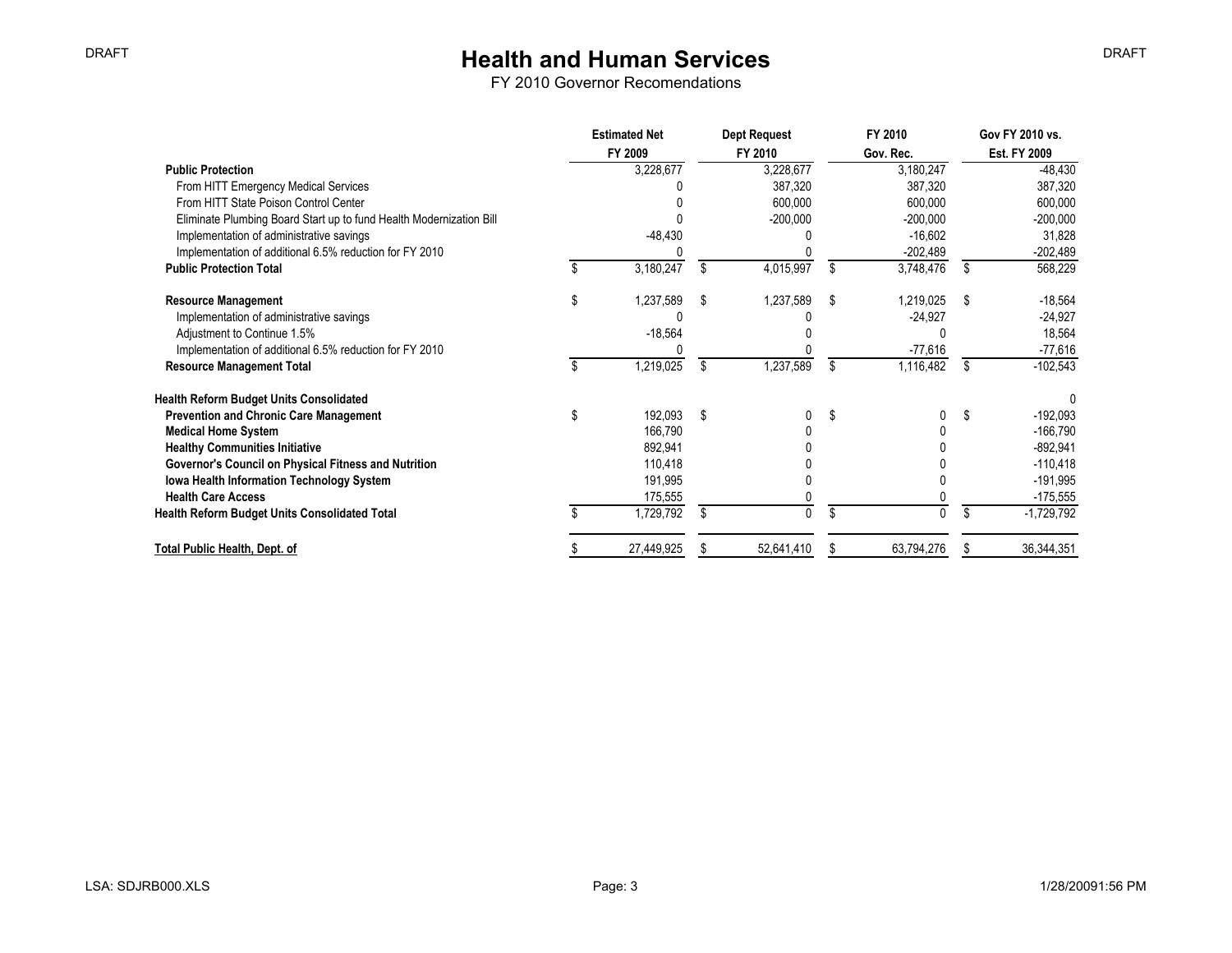|                                                                     | <b>Estimated Net</b> |    | <b>Dept Request</b> |    | FY 2010    |              | Gov FY 2010 vs. |  |
|---------------------------------------------------------------------|----------------------|----|---------------------|----|------------|--------------|-----------------|--|
|                                                                     | FY 2009              |    | FY 2010             |    | Gov. Rec.  | Est. FY 2009 |                 |  |
| <b>Public Protection</b>                                            | 3,228,677            |    | 3,228,677           |    | 3,180,247  |              | $-48,430$       |  |
| From HITT Emergency Medical Services                                |                      |    | 387,320             |    | 387,320    |              | 387,320         |  |
| From HITT State Poison Control Center                               |                      |    | 600,000             |    | 600,000    |              | 600,000         |  |
| Eliminate Plumbing Board Start up to fund Health Modernization Bill |                      |    | $-200,000$          |    | $-200,000$ |              | $-200,000$      |  |
| Implementation of administrative savings                            | $-48,430$            |    |                     |    | $-16,602$  |              | 31,828          |  |
| Implementation of additional 6.5% reduction for FY 2010             |                      |    |                     |    | $-202,489$ |              | $-202,489$      |  |
| <b>Public Protection Total</b>                                      | 3,180,247            | S. | 4,015,997           | \$ | 3,748,476  | \$           | 568,229         |  |
| <b>Resource Management</b>                                          | \$<br>1,237,589      | S  | 1,237,589           | S  | 1,219,025  | \$           | $-18,564$       |  |
| Implementation of administrative savings                            |                      |    |                     |    | $-24,927$  |              | $-24,927$       |  |
| Adjustment to Continue 1.5%                                         | $-18,564$            |    |                     |    |            |              | 18,564          |  |
| Implementation of additional 6.5% reduction for FY 2010             |                      |    |                     |    | $-77,616$  |              | $-77,616$       |  |
| <b>Resource Management Total</b>                                    | 1,219,025            | \$ | 1,237,589           | \$ | 1,116,482  | S            | $-102,543$      |  |
| <b>Health Reform Budget Units Consolidated</b>                      |                      |    |                     |    |            |              |                 |  |
| <b>Prevention and Chronic Care Management</b>                       | 192,093              | S  |                     | \$ |            | \$           | $-192,093$      |  |
| <b>Medical Home System</b>                                          | 166,790              |    |                     |    |            |              | $-166,790$      |  |
| <b>Healthy Communities Initiative</b>                               | 892,941              |    |                     |    |            |              | $-892,941$      |  |
| Governor's Council on Physical Fitness and Nutrition                | 110,418              |    |                     |    |            |              | $-110,418$      |  |
| <b>Iowa Health Information Technology System</b>                    | 191,995              |    |                     |    |            |              | -191,995        |  |
| <b>Health Care Access</b>                                           | 175,555              |    |                     |    |            |              | $-175,555$      |  |
| Health Reform Budget Units Consolidated Total                       | 1,729,792            | \$ | <sup>n</sup>        |    |            | \$           | $-1,729,792$    |  |
| Total Public Health, Dept. of                                       | 27,449,925           |    | 52,641,410          |    | 63,794,276 | ß.           | 36,344,351      |  |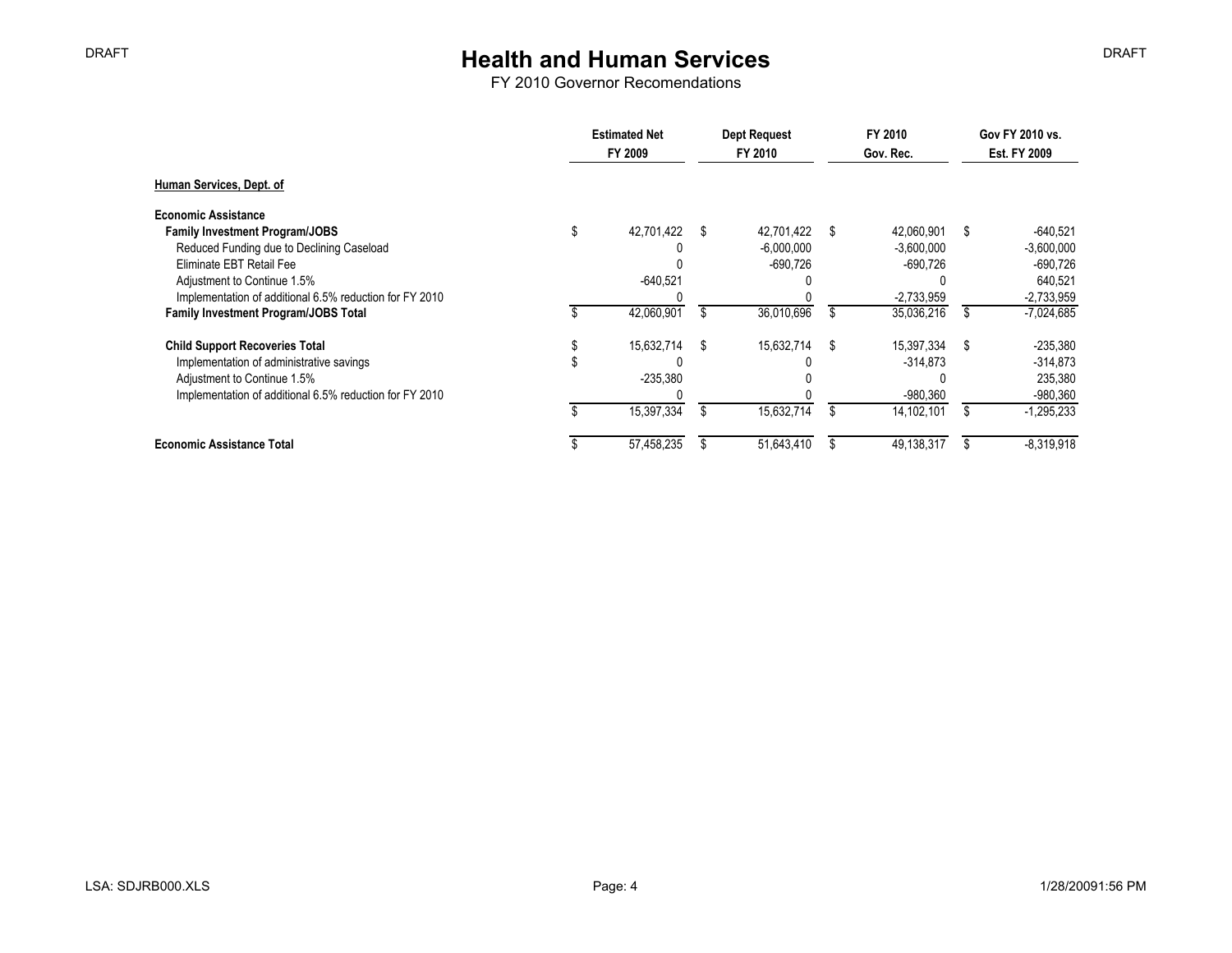|                                                         | <b>Estimated Net</b><br>FY 2009 |   | <b>Dept Request</b><br>FY 2010 |   | FY 2010<br>Gov. Rec. |      | Gov FY 2010 vs.<br>Est. FY 2009 |  |
|---------------------------------------------------------|---------------------------------|---|--------------------------------|---|----------------------|------|---------------------------------|--|
| Human Services, Dept. of                                |                                 |   |                                |   |                      |      |                                 |  |
| <b>Economic Assistance</b>                              |                                 |   |                                |   |                      |      |                                 |  |
| <b>Family Investment Program/JOBS</b>                   | \$<br>42,701,422                | S | 42,701,422                     | S | 42,060,901           | \$   | $-640,521$                      |  |
| Reduced Funding due to Declining Caseload               |                                 |   | $-6,000,000$                   |   | $-3,600,000$         |      | $-3,600,000$                    |  |
| Eliminate EBT Retail Fee                                |                                 |   | $-690,726$                     |   | $-690,726$           |      | $-690,726$                      |  |
| Adjustment to Continue 1.5%                             | $-640.521$                      |   |                                |   |                      |      | 640.521                         |  |
| Implementation of additional 6.5% reduction for FY 2010 |                                 |   |                                |   | $-2,733,959$         |      | $-2,733,959$                    |  |
| <b>Family Investment Program/JOBS Total</b>             | 42,060,901                      |   | 36,010,696                     |   | 35,036,216           |      | $-7,024,685$                    |  |
| <b>Child Support Recoveries Total</b>                   | 15,632,714                      | S | 15,632,714                     | S | 15.397.334           | - \$ | $-235,380$                      |  |
| Implementation of administrative savings                |                                 |   |                                |   | $-314,873$           |      | $-314,873$                      |  |
| Adjustment to Continue 1.5%                             | $-235,380$                      |   |                                |   |                      |      | 235,380                         |  |
| Implementation of additional 6.5% reduction for FY 2010 |                                 |   |                                |   | $-980,360$           |      | $-980,360$                      |  |
|                                                         | 15,397,334                      |   | 15,632,714                     |   | 14,102,101           |      | $-1,295,233$                    |  |
| <b>Economic Assistance Total</b>                        | 57,458,235                      |   | 51,643,410                     |   | 49,138,317           |      | $-8,319,918$                    |  |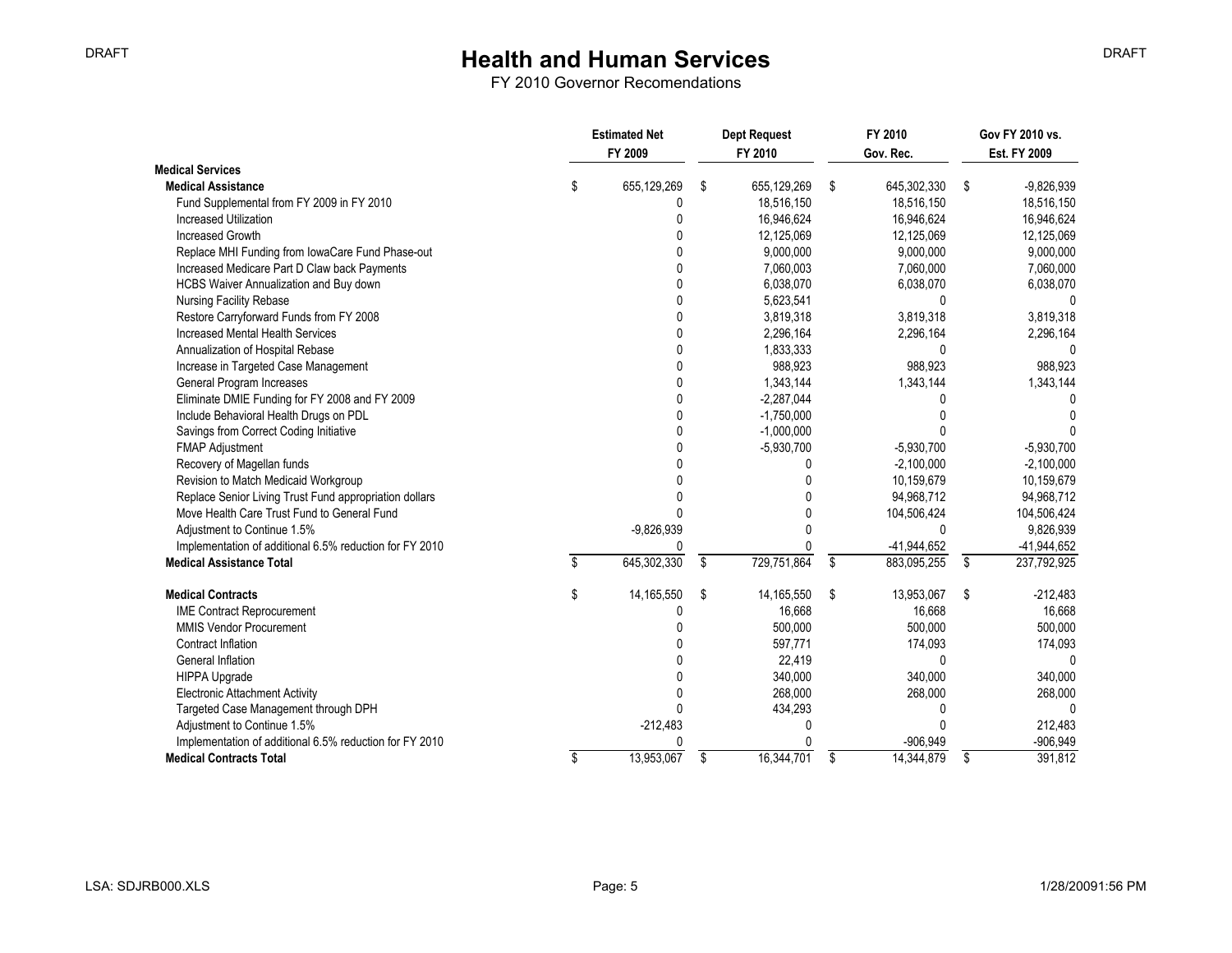|                                                         | <b>Estimated Net</b> |              | <b>Dept Request</b> |    | FY 2010       |     | Gov FY 2010 vs. |  |
|---------------------------------------------------------|----------------------|--------------|---------------------|----|---------------|-----|-----------------|--|
|                                                         |                      | FY 2009      | FY 2010             |    | Gov. Rec.     |     | Est. FY 2009    |  |
| <b>Medical Services</b>                                 |                      |              |                     |    |               |     |                 |  |
| <b>Medical Assistance</b>                               | \$                   | 655,129,269  | \$<br>655,129,269   | S. | 645,302,330   | -\$ | $-9,826,939$    |  |
| Fund Supplemental from FY 2009 in FY 2010               |                      | 0            | 18,516,150          |    | 18,516,150    |     | 18,516,150      |  |
| <b>Increased Utilization</b>                            |                      | 0            | 16,946,624          |    | 16,946,624    |     | 16,946,624      |  |
| <b>Increased Growth</b>                                 |                      | 0            | 12,125,069          |    | 12,125,069    |     | 12,125,069      |  |
| Replace MHI Funding from lowaCare Fund Phase-out        |                      | N            | 9,000,000           |    | 9,000,000     |     | 9,000,000       |  |
| Increased Medicare Part D Claw back Payments            |                      |              | 7,060,003           |    | 7,060,000     |     | 7,060,000       |  |
| HCBS Waiver Annualization and Buy down                  |                      |              | 6,038,070           |    | 6,038,070     |     | 6,038,070       |  |
| <b>Nursing Facility Rebase</b>                          |                      |              | 5,623,541           |    | $\Omega$      |     | <sup>0</sup>    |  |
| Restore Carryforward Funds from FY 2008                 |                      |              | 3,819,318           |    | 3,819,318     |     | 3,819,318       |  |
| Increased Mental Health Services                        |                      |              | 2,296,164           |    | 2,296,164     |     | 2,296,164       |  |
| Annualization of Hospital Rebase                        |                      |              | 1,833,333           |    | $\Omega$      |     | $\Omega$        |  |
| Increase in Targeted Case Management                    |                      |              | 988,923             |    | 988,923       |     | 988,923         |  |
| General Program Increases                               |                      |              | 1,343,144           |    | 1,343,144     |     | 1,343,144       |  |
| Eliminate DMIE Funding for FY 2008 and FY 2009          |                      |              | $-2,287,044$        |    |               |     |                 |  |
| Include Behavioral Health Drugs on PDL                  |                      | U            | $-1,750,000$        |    |               |     |                 |  |
| Savings from Correct Coding Initiative                  |                      | 0            | $-1,000,000$        |    |               |     |                 |  |
| <b>FMAP Adjustment</b>                                  |                      | N            | $-5,930,700$        |    | $-5,930,700$  |     | $-5,930,700$    |  |
| Recovery of Magellan funds                              |                      |              | N                   |    | $-2,100,000$  |     | $-2,100,000$    |  |
| Revision to Match Medicaid Workgroup                    |                      |              | 0                   |    | 10,159,679    |     | 10,159,679      |  |
| Replace Senior Living Trust Fund appropriation dollars  |                      |              | 0                   |    | 94,968,712    |     | 94,968,712      |  |
| Move Health Care Trust Fund to General Fund             |                      |              | 0                   |    | 104,506,424   |     | 104,506,424     |  |
| Adjustment to Continue 1.5%                             |                      | $-9,826,939$ | U                   |    | $\Omega$      |     | 9,826,939       |  |
| Implementation of additional 6.5% reduction for FY 2010 |                      | 0            | N                   |    | $-41,944,652$ |     | $-41,944,652$   |  |
| <b>Medical Assistance Total</b>                         | \$                   | 645,302,330  | \$<br>729,751,864   | \$ | 883,095,255   | \$  | 237,792,925     |  |
| <b>Medical Contracts</b>                                | \$                   | 14,165,550   | \$<br>14,165,550    | \$ | 13,953,067    | \$  | $-212,483$      |  |
| <b>IME Contract Reprocurement</b>                       |                      | 0            | 16,668              |    | 16,668        |     | 16,668          |  |
| <b>MMIS Vendor Procurement</b>                          |                      | <sup>0</sup> | 500,000             |    | 500,000       |     | 500,000         |  |
| <b>Contract Inflation</b>                               |                      |              | 597,771             |    | 174,093       |     | 174,093         |  |
| General Inflation                                       |                      |              | 22,419              |    | $\Omega$      |     | $\Omega$        |  |
| HIPPA Upgrade                                           |                      |              | 340,000             |    | 340,000       |     | 340,000         |  |
| <b>Electronic Attachment Activity</b>                   |                      |              | 268,000             |    | 268,000       |     | 268,000         |  |
| Targeted Case Management through DPH                    |                      | U            | 434,293             |    | 0             |     | <sup>0</sup>    |  |
| Adjustment to Continue 1.5%                             |                      | $-212,483$   | 0                   |    | $\Omega$      |     | 212,483         |  |
| Implementation of additional 6.5% reduction for FY 2010 |                      | U            | U                   |    | $-906,949$    |     | $-906,949$      |  |
| <b>Medical Contracts Total</b>                          | \$                   | 13,953,067   | \$<br>16,344,701    | \$ | 14,344,879    | \$  | 391,812         |  |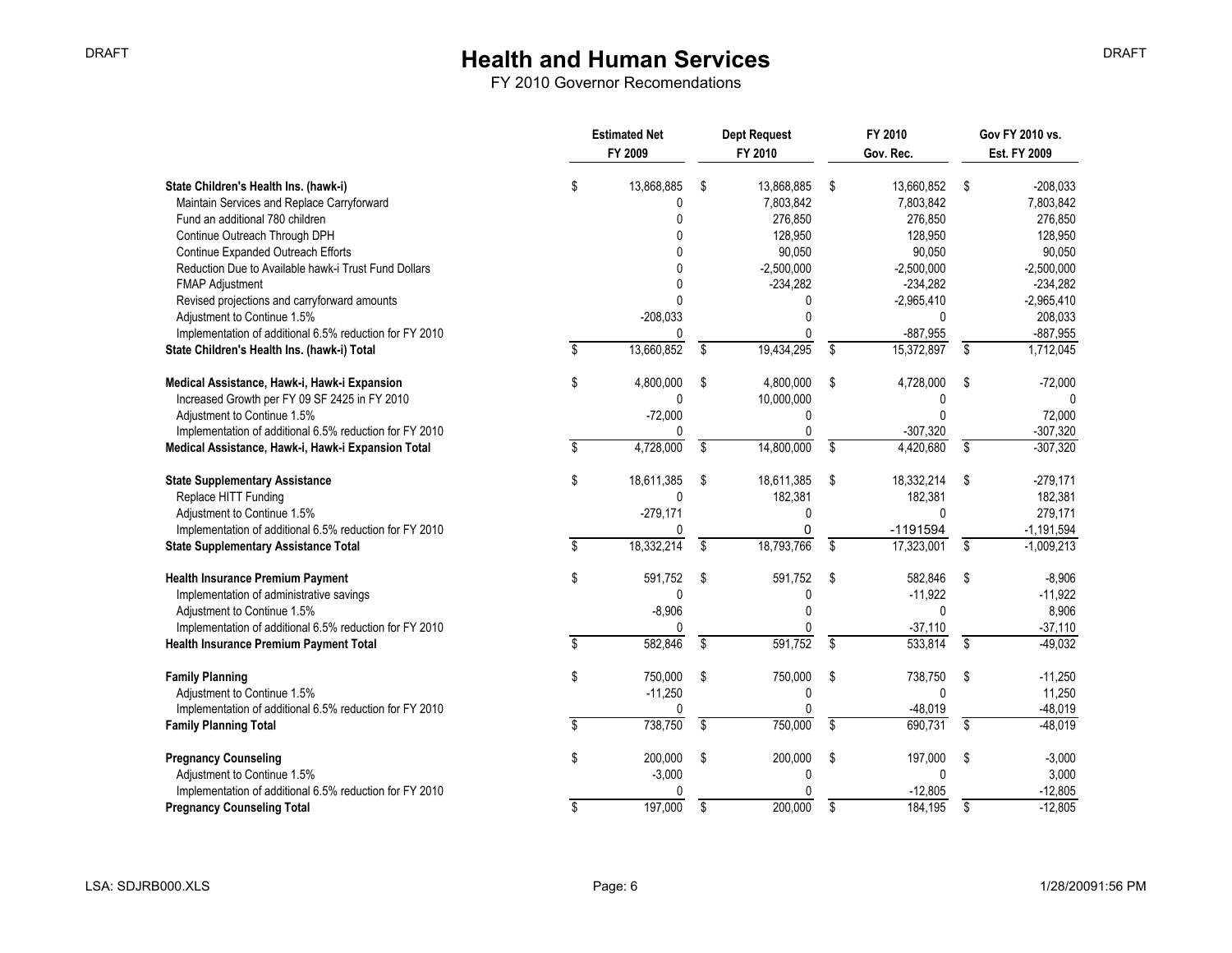|                                                                                                                        | <b>Estimated Net</b><br>FY 2009 |    | <b>Dept Request</b><br>FY 2010     |    | FY 2010<br>Gov. Rec.               |                 | Gov FY 2010 vs.<br>Est. FY 2009    |  |
|------------------------------------------------------------------------------------------------------------------------|---------------------------------|----|------------------------------------|----|------------------------------------|-----------------|------------------------------------|--|
| State Children's Health Ins. (hawk-i)<br>Maintain Services and Replace Carryforward<br>Fund an additional 780 children | \$<br>13,868,885<br>0<br>U      | \$ | 13,868,885<br>7,803,842<br>276,850 | \$ | 13,660,852<br>7.803.842<br>276.850 | -\$             | $-208,033$<br>7,803,842<br>276,850 |  |
| Continue Outreach Through DPH                                                                                          |                                 |    | 128,950                            |    | 128,950                            |                 | 128,950                            |  |
| Continue Expanded Outreach Efforts<br>Reduction Due to Available hawk-i Trust Fund Dollars                             |                                 |    | 90,050<br>$-2,500,000$             |    | 90,050<br>$-2,500,000$             |                 | 90,050<br>$-2,500,000$             |  |
| <b>FMAP Adjustment</b>                                                                                                 |                                 |    | $-234,282$                         |    | $-234,282$                         |                 | $-234,282$                         |  |
| Revised projections and carryforward amounts                                                                           | $\Omega$                        |    |                                    |    | $-2,965,410$                       |                 | $-2,965,410$                       |  |
| Adjustment to Continue 1.5%                                                                                            | $-208,033$                      |    | $\Omega$                           |    | $\Omega$                           |                 | 208,033                            |  |
| Implementation of additional 6.5% reduction for FY 2010                                                                | Ŋ                               |    |                                    |    | $-887,955$                         |                 | $-887,955$                         |  |
| State Children's Health Ins. (hawk-i) Total                                                                            | 13,660,852                      | \$ | 19,434,295                         | Ŝ. | 15,372,897                         | \$              | 1,712,045                          |  |
| Medical Assistance, Hawk-i, Hawk-i Expansion                                                                           | \$<br>4,800,000                 | S  | 4.800.000                          | \$ | 4,728,000                          | Ŝ.              | $-72,000$                          |  |
| Increased Growth per FY 09 SF 2425 in FY 2010                                                                          | $\mathbf{0}$                    |    | 10,000,000                         |    | 0                                  |                 | $\Omega$                           |  |
| Adjustment to Continue 1.5%                                                                                            | $-72,000$<br>0                  |    | 0<br>$\Omega$                      |    | $\Omega$<br>$-307,320$             |                 | 72,000<br>$-307,320$               |  |
| Implementation of additional 6.5% reduction for FY 2010<br>Medical Assistance, Hawk-i, Hawk-i Expansion Total          | \$<br>4,728,000                 | \$ | 14,800,000                         | Ŝ. | 4,420,680                          | \$              | $-307,320$                         |  |
| <b>State Supplementary Assistance</b>                                                                                  | \$<br>18,611,385                | \$ | 18,611,385                         | Ŝ. | 18,332,214                         | Ŝ.              | $-279,171$                         |  |
| Replace HITT Funding                                                                                                   | $\mathbf{0}$                    |    | 182,381                            |    | 182,381                            |                 | 182,381                            |  |
| Adjustment to Continue 1.5%                                                                                            | $-279,171$                      |    | 0                                  |    | $\mathbf{0}$                       |                 | 279,171                            |  |
| Implementation of additional 6.5% reduction for FY 2010                                                                | 0                               |    | 0                                  |    | $-1191594$                         |                 | $-1,191,594$                       |  |
| <b>State Supplementary Assistance Total</b>                                                                            | \$<br>18,332,214                | \$ | 18,793,766                         | \$ | 17,323,001                         | $\overline{\$}$ | $-1,009,213$                       |  |
| <b>Health Insurance Premium Payment</b>                                                                                | \$<br>591,752                   | \$ | 591,752                            | \$ | 582,846                            | Ŝ.              | $-8,906$                           |  |
| Implementation of administrative savings                                                                               | 0                               |    | 0                                  |    | $-11,922$                          |                 | $-11,922$                          |  |
| Adjustment to Continue 1.5%<br>Implementation of additional 6.5% reduction for FY 2010                                 | $-8,906$<br>0                   |    | $\Omega$                           |    | $\Omega$<br>$-37,110$              |                 | 8,906<br>$-37,110$                 |  |
| Health Insurance Premium Payment Total                                                                                 | \$<br>582,846                   | \$ | 591,752                            | Ŝ. | 533.814                            | \$              | $-49.032$                          |  |
| <b>Family Planning</b>                                                                                                 | \$<br>750,000                   | \$ | 750,000                            | \$ | 738,750                            | \$              | $-11,250$                          |  |
| Adjustment to Continue 1.5%                                                                                            | $-11,250$                       |    | 0                                  |    | $\mathbf{0}$                       |                 | 11,250                             |  |
| Implementation of additional 6.5% reduction for FY 2010                                                                | 0                               |    |                                    |    | $-48,019$                          |                 | $-48,019$                          |  |
| <b>Family Planning Total</b>                                                                                           | \$<br>738,750                   | \$ | 750,000                            | Ŝ. | 690.731                            | \$              | $-48,019$                          |  |
| <b>Pregnancy Counseling</b>                                                                                            | \$<br>200,000                   | \$ | 200,000                            | \$ | 197,000                            | Ŝ.              | $-3,000$                           |  |
| Adjustment to Continue 1.5%                                                                                            | $-3,000$                        |    | $\Omega$                           |    | $\mathbf{0}$                       |                 | 3,000                              |  |
| Implementation of additional 6.5% reduction for FY 2010                                                                | 0                               |    |                                    |    | $-12,805$                          |                 | $-12,805$                          |  |
| <b>Pregnancy Counseling Total</b>                                                                                      | 197,000                         | \$ | 200,000                            | \$ | 184,195                            | \$              | $-12,805$                          |  |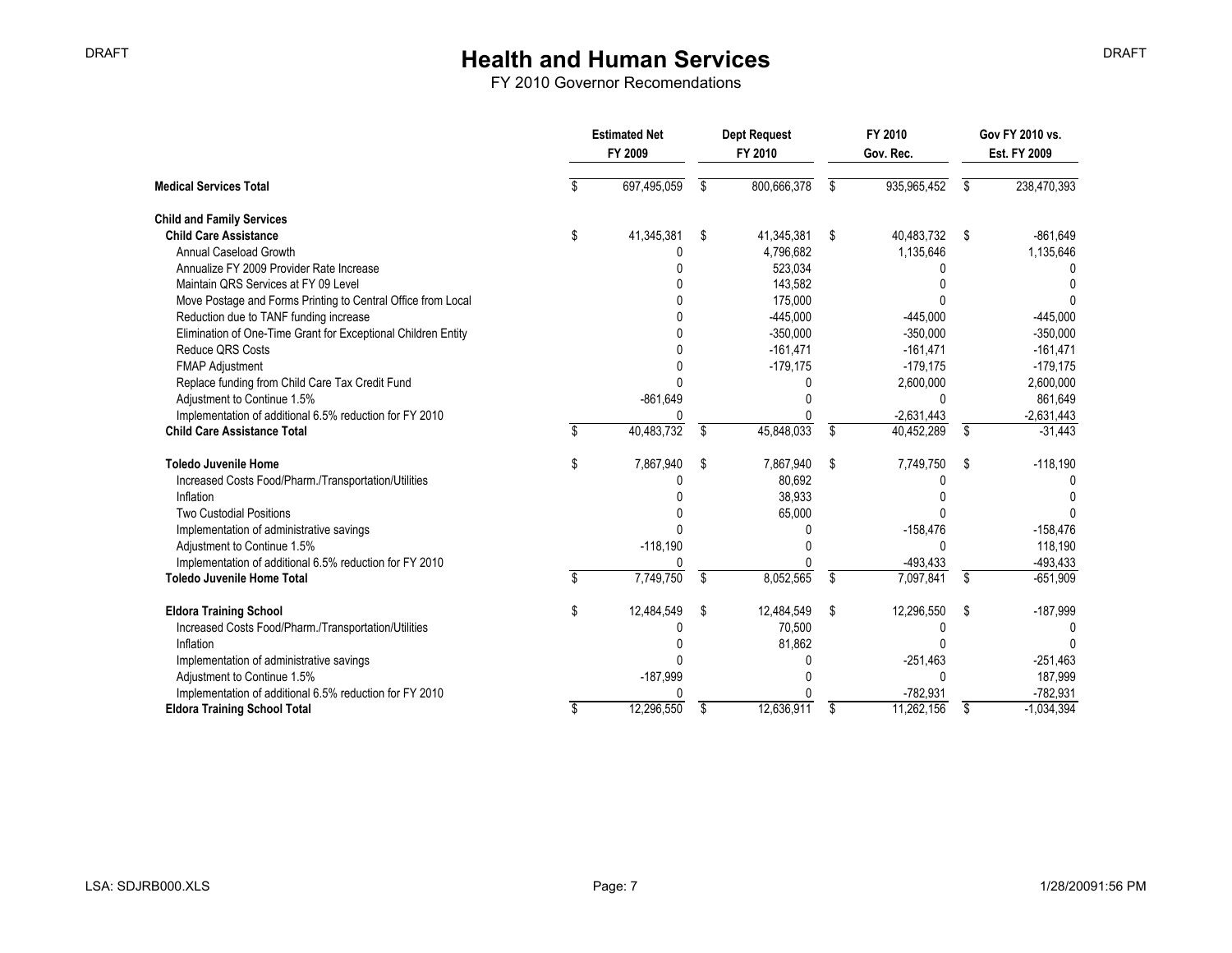|                                                               | <b>Estimated Net</b><br>FY 2009 |    | <b>Dept Request</b><br>FY 2010 |    | FY 2010<br>Gov. Rec. |      | Gov FY 2010 vs.<br>Est. FY 2009 |  |
|---------------------------------------------------------------|---------------------------------|----|--------------------------------|----|----------------------|------|---------------------------------|--|
| <b>Medical Services Total</b>                                 | 697,495,059                     | S. | 800,666,378                    | S  | 935,965,452          | S    | 238,470,393                     |  |
| <b>Child and Family Services</b>                              |                                 |    |                                |    |                      |      |                                 |  |
| <b>Child Care Assistance</b>                                  | \$<br>41,345,381                | \$ | 41,345,381                     | \$ | 40,483,732           | - \$ | $-861,649$                      |  |
| Annual Caseload Growth                                        |                                 |    | 4,796,682                      |    | 1,135,646            |      | 1,135,646                       |  |
| Annualize FY 2009 Provider Rate Increase                      |                                 |    | 523,034                        |    |                      |      |                                 |  |
| Maintain QRS Services at FY 09 Level                          |                                 |    | 143,582                        |    |                      |      |                                 |  |
| Move Postage and Forms Printing to Central Office from Local  |                                 |    | 175,000                        |    |                      |      |                                 |  |
| Reduction due to TANF funding increase                        |                                 |    | $-445,000$                     |    | $-445,000$           |      | $-445,000$                      |  |
| Elimination of One-Time Grant for Exceptional Children Entity |                                 |    | $-350,000$                     |    | $-350,000$           |      | $-350,000$                      |  |
| <b>Reduce QRS Costs</b>                                       |                                 |    | $-161,471$                     |    | $-161,471$           |      | $-161,471$                      |  |
| <b>FMAP Adjustment</b>                                        |                                 |    | $-179,175$                     |    | $-179,175$           |      | $-179,175$                      |  |
| Replace funding from Child Care Tax Credit Fund               |                                 |    |                                |    | 2,600,000            |      | 2,600,000                       |  |
| Adjustment to Continue 1.5%                                   | $-861,649$                      |    |                                |    | $\Omega$             |      | 861,649                         |  |
| Implementation of additional 6.5% reduction for FY 2010       |                                 |    |                                |    | $-2,631,443$         |      | $-2,631,443$                    |  |
| <b>Child Care Assistance Total</b>                            | \$<br>40,483,732                | \$ | 45,848,033                     | \$ | 40,452,289           | \$   | $-31,443$                       |  |
| <b>Toledo Juvenile Home</b>                                   | \$<br>7,867,940                 | \$ | 7,867,940                      | \$ | 7,749,750            | \$   | $-118,190$                      |  |
| Increased Costs Food/Pharm./Transportation/Utilities          |                                 |    | 80,692                         |    |                      |      |                                 |  |
| Inflation                                                     |                                 |    | 38,933                         |    |                      |      |                                 |  |
| <b>Two Custodial Positions</b>                                |                                 |    | 65,000                         |    |                      |      |                                 |  |
| Implementation of administrative savings                      |                                 |    |                                |    | $-158,476$           |      | $-158,476$                      |  |
| Adjustment to Continue 1.5%                                   | $-118,190$                      |    |                                |    |                      |      | 118,190                         |  |
| Implementation of additional 6.5% reduction for FY 2010       | U                               |    |                                |    | -493,433             |      | $-493,433$                      |  |
| <b>Toledo Juvenile Home Total</b>                             | \$<br>7,749,750                 | \$ | 8,052,565                      | \$ | 7,097,841            | \$   | $-651,909$                      |  |
| <b>Eldora Training School</b>                                 | \$<br>12,484,549                | \$ | 12,484,549                     | \$ | 12,296,550           | - \$ | $-187,999$                      |  |
| Increased Costs Food/Pharm./Transportation/Utilities          |                                 |    | 70,500                         |    |                      |      |                                 |  |
| Inflation                                                     |                                 |    | 81.862                         |    |                      |      |                                 |  |
| Implementation of administrative savings                      |                                 |    | N                              |    | $-251,463$           |      | $-251,463$                      |  |
| Adjustment to Continue 1.5%                                   | $-187,999$                      |    |                                |    |                      |      | 187,999                         |  |
| Implementation of additional 6.5% reduction for FY 2010       |                                 |    |                                |    | $-782.931$           |      | -782.931                        |  |
| <b>Eldora Training School Total</b>                           | \$<br>12.296.550                | \$ | 12,636,911                     | \$ | 11,262,156           | \$   | $-1,034,394$                    |  |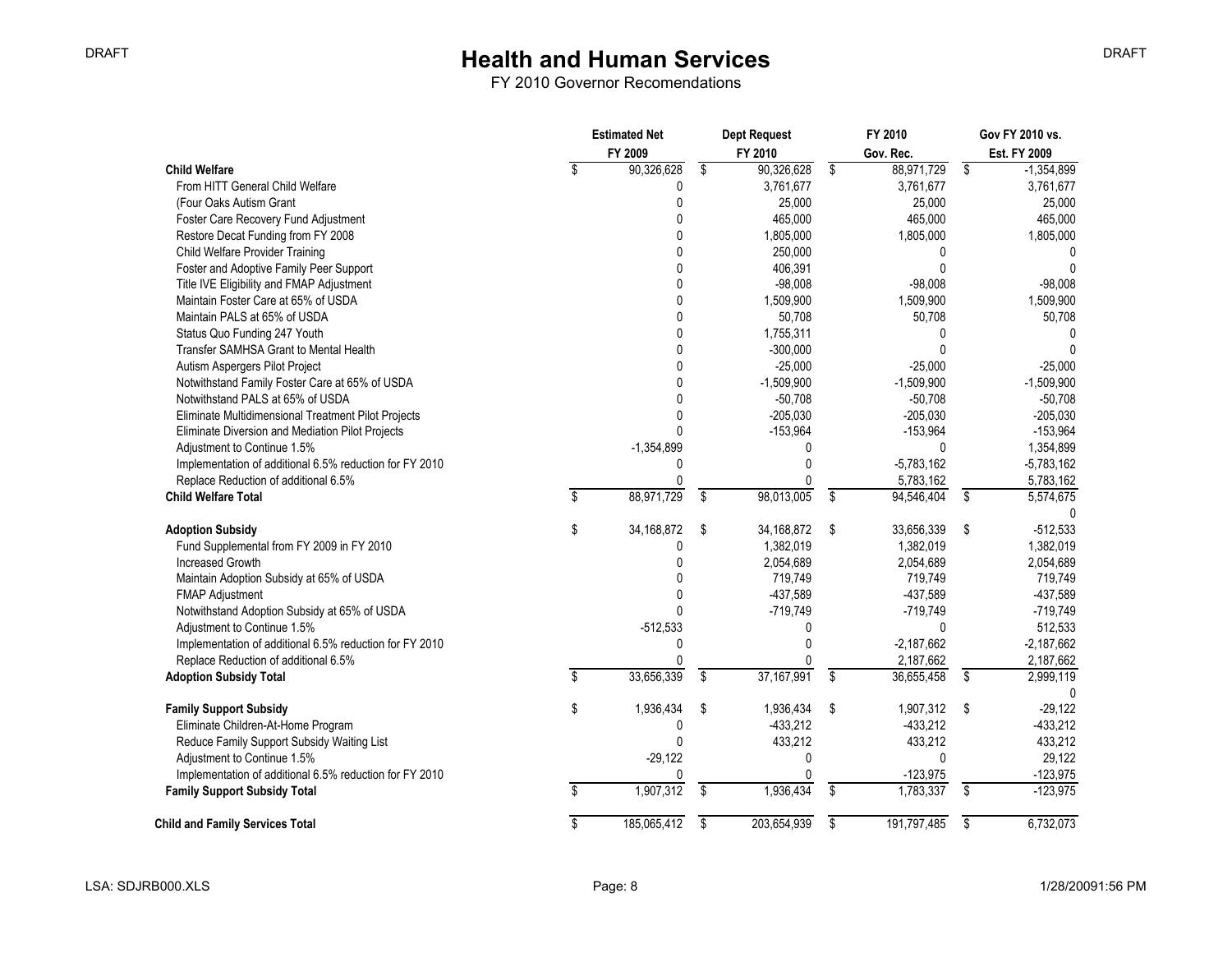FY 2010 Governor Recomendations

|                                                         | <b>Estimated Net</b> |              | <b>Dept Request</b> |                         | FY 2010      |                         | Gov FY 2010 vs. |
|---------------------------------------------------------|----------------------|--------------|---------------------|-------------------------|--------------|-------------------------|-----------------|
|                                                         |                      | FY 2009      | FY 2010             |                         | Gov. Rec.    |                         | Est. FY 2009    |
| <b>Child Welfare</b>                                    | \$                   | 90,326,628   | \$<br>90,326,628    | \$                      | 88,971,729   | \$                      | $-1,354,899$    |
| From HITT General Child Welfare                         |                      | 0            | 3,761,677           |                         | 3,761,677    |                         | 3,761,677       |
| (Four Oaks Autism Grant                                 |                      | 0            | 25,000              |                         | 25,000       |                         | 25,000          |
| Foster Care Recovery Fund Adjustment                    |                      | 0            | 465,000             |                         | 465,000      |                         | 465,000         |
| Restore Decat Funding from FY 2008                      |                      | 0            | 1,805,000           |                         | 1,805,000    |                         | 1,805,000       |
| Child Welfare Provider Training                         |                      | 0            | 250,000             |                         | $\Omega$     |                         |                 |
| Foster and Adoptive Family Peer Support                 |                      | 0            | 406,391             |                         | $\Omega$     |                         | 0               |
| Title IVE Eligibility and FMAP Adjustment               |                      | 0            | $-98,008$           |                         | $-98,008$    |                         | $-98,008$       |
| Maintain Foster Care at 65% of USDA                     |                      | 0            | 1,509,900           |                         | 1,509,900    |                         | 1,509,900       |
| Maintain PALS at 65% of USDA                            |                      | 0            | 50,708              |                         | 50,708       |                         | 50,708          |
| Status Quo Funding 247 Youth                            |                      | 0            | 1,755,311           |                         | <sup>0</sup> |                         | 0               |
| Transfer SAMHSA Grant to Mental Health                  |                      | $\Omega$     | $-300,000$          |                         |              |                         | $\Omega$        |
| Autism Aspergers Pilot Project                          |                      | 0            | $-25,000$           |                         | $-25,000$    |                         | $-25,000$       |
| Notwithstand Family Foster Care at 65% of USDA          |                      | 0            | $-1,509,900$        |                         | $-1,509,900$ |                         | $-1,509,900$    |
| Notwithstand PALS at 65% of USDA                        |                      | 0            | $-50,708$           |                         | $-50,708$    |                         | $-50,708$       |
| Eliminate Multidimensional Treatment Pilot Projects     |                      | 0            | $-205,030$          |                         | $-205,030$   |                         | $-205,030$      |
| Eliminate Diversion and Mediation Pilot Projects        |                      | 0            | $-153,964$          |                         | $-153,964$   |                         | $-153,964$      |
| Adjustment to Continue 1.5%                             |                      | $-1,354,899$ | 0                   |                         | $\mathbf{0}$ |                         | 1,354,899       |
| Implementation of additional 6.5% reduction for FY 2010 |                      | 0            | 0                   |                         | $-5,783,162$ |                         | $-5,783,162$    |
| Replace Reduction of additional 6.5%                    |                      | $\mathbf{0}$ | O                   |                         | 5,783,162    |                         | 5,783,162       |
| <b>Child Welfare Total</b>                              | \$                   | 88,971,729   | \$<br>98,013,005    | \$                      | 94,546,404   | \$                      | 5,574,675       |
|                                                         |                      |              |                     |                         |              |                         |                 |
| <b>Adoption Subsidy</b>                                 | \$                   | 34,168,872   | \$<br>34,168,872    | \$                      | 33,656,339   | \$                      | $-512,533$      |
| Fund Supplemental from FY 2009 in FY 2010               |                      | 0            | 1,382,019           |                         | 1,382,019    |                         | 1,382,019       |
| Increased Growth                                        |                      | 0            | 2,054,689           |                         | 2,054,689    |                         | 2,054,689       |
| Maintain Adoption Subsidy at 65% of USDA                |                      | 0            | 719,749             |                         | 719,749      |                         | 719,749         |
| <b>FMAP Adjustment</b>                                  |                      | 0            | -437,589            |                         | -437,589     |                         | $-437,589$      |
| Notwithstand Adoption Subsidy at 65% of USDA            |                      | U            | $-719,749$          |                         | $-719,749$   |                         | $-719,749$      |
| Adjustment to Continue 1.5%                             |                      | $-512,533$   | 0                   |                         | 0            |                         | 512,533         |
| Implementation of additional 6.5% reduction for FY 2010 |                      | 0            | 0                   |                         | $-2,187,662$ |                         | $-2,187,662$    |
| Replace Reduction of additional 6.5%                    |                      | 0            | 0                   |                         | 2,187,662    |                         | 2,187,662       |
| <b>Adoption Subsidy Total</b>                           | \$                   | 33,656,339   | \$<br>37, 167, 991  | \$                      | 36,655,458   | \$                      | 2,999,119       |
|                                                         |                      |              |                     |                         |              |                         |                 |
| <b>Family Support Subsidy</b>                           | \$                   | 1,936,434    | \$<br>1,936,434     | \$                      | 1,907,312    | - \$                    | $-29,122$       |
| Eliminate Children-At-Home Program                      |                      | 0            | $-433,212$          |                         | $-433,212$   |                         | $-433,212$      |
| Reduce Family Support Subsidy Waiting List              |                      | 0            | 433,212             |                         | 433,212      |                         | 433,212         |
| Adjustment to Continue 1.5%                             |                      | $-29,122$    | 0                   |                         | $\Omega$     |                         | 29,122          |
| Implementation of additional 6.5% reduction for FY 2010 |                      | 0            | 0                   |                         | $-123,975$   |                         | $-123,975$      |
| <b>Family Support Subsidy Total</b>                     | \$                   | 1,907,312    | \$<br>1,936,434     | $\overline{\mathbf{s}}$ | 1,783,337    | $\overline{\mathsf{s}}$ | $-123,975$      |
| <b>Child and Family Services Total</b>                  | \$                   | 185,065,412  | \$<br>203,654,939   | \$                      | 191,797,485  | \$                      | 6,732,073       |

DRAFT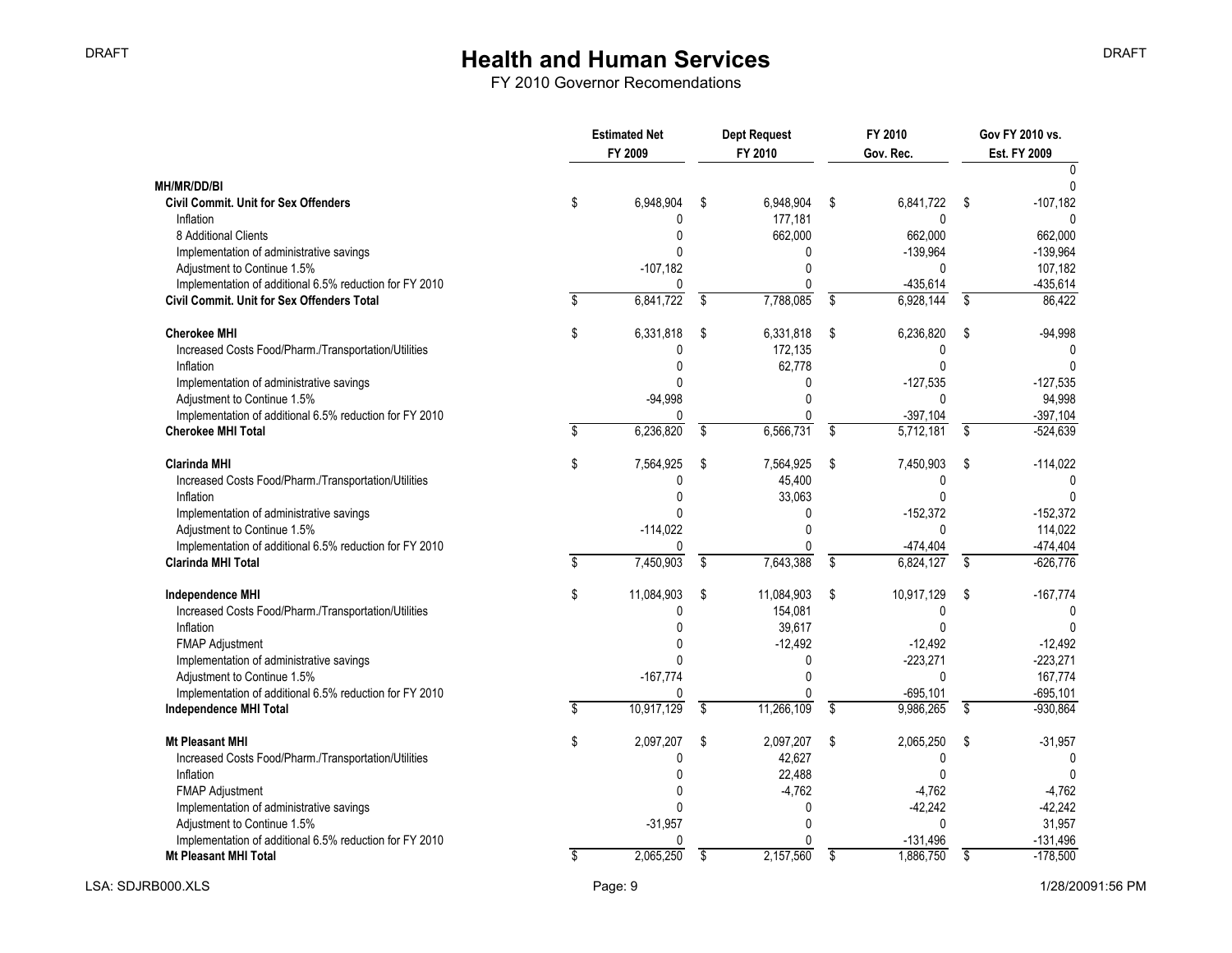|                                                                                         | <b>Estimated Net</b><br>FY 2009 |                         | <b>Dept Request</b><br>FY 2010 |                         | FY 2010<br>Gov. Rec.     | Gov FY 2010 vs.<br><b>Est. FY 2009</b> |  |
|-----------------------------------------------------------------------------------------|---------------------------------|-------------------------|--------------------------------|-------------------------|--------------------------|----------------------------------------|--|
|                                                                                         |                                 |                         |                                |                         |                          |                                        |  |
| MH/MR/DD/BI                                                                             | \$<br>6,948,904                 |                         | 6,948,904                      |                         | 6,841,722                | $-107,182$                             |  |
| <b>Civil Commit. Unit for Sex Offenders</b><br>Inflation                                | 0                               | \$                      | 177,181                        | \$                      | 0                        | \$                                     |  |
| 8 Additional Clients                                                                    | n                               |                         | 662,000                        |                         | 662,000                  | 662,000                                |  |
| Implementation of administrative savings                                                | U                               |                         | n                              |                         | $-139,964$               | $-139,964$                             |  |
| Adjustment to Continue 1.5%                                                             | $-107,182$                      |                         | O                              |                         | 0                        | 107,182                                |  |
| Implementation of additional 6.5% reduction for FY 2010                                 | 0                               |                         | $\Omega$                       |                         | -435,614                 | $-435,614$                             |  |
| Civil Commit. Unit for Sex Offenders Total                                              | 6,841,722                       | \$                      | 7,788,085                      | \$                      | 6,928,144                | \$<br>86,422                           |  |
| <b>Cherokee MHI</b>                                                                     | \$<br>6,331,818                 | \$                      | 6,331,818                      | \$                      | 6,236,820                | \$<br>$-94,998$                        |  |
| Increased Costs Food/Pharm./Transportation/Utilities                                    | 0                               |                         | 172,135                        |                         | $\Omega$                 |                                        |  |
| Inflation                                                                               |                                 |                         | 62,778                         |                         | U                        |                                        |  |
| Implementation of administrative savings                                                | U                               |                         | $\Omega$                       |                         | $-127,535$               | $-127,535$                             |  |
| Adjustment to Continue 1.5%                                                             | $-94,998$                       |                         | $\Omega$                       |                         | $\mathbf{0}$             | 94,998                                 |  |
| Implementation of additional 6.5% reduction for FY 2010                                 | U                               |                         | $\Omega$                       |                         | $-397,104$               | $-397,104$                             |  |
| <b>Cherokee MHI Total</b>                                                               | 6,236,820                       | $\overline{\mathbf{s}}$ | 6,566,731                      | $\overline{\mathbf{s}}$ | 5,712,181                | \$<br>$-524,639$                       |  |
| <b>Clarinda MHI</b>                                                                     | \$<br>7,564,925                 | \$                      | 7,564,925                      | \$                      | 7,450,903                | \$<br>$-114,022$                       |  |
| Increased Costs Food/Pharm./Transportation/Utilities                                    | 0                               |                         | 45,400                         |                         | 0                        | $\Omega$                               |  |
| Inflation                                                                               | U                               |                         | 33,063                         |                         | 0                        |                                        |  |
| Implementation of administrative savings                                                |                                 |                         | 0                              |                         | $-152,372$               | $-152,372$                             |  |
| Adjustment to Continue 1.5%                                                             | $-114,022$                      |                         | $\Omega$                       |                         | $\Omega$                 | 114,022                                |  |
| Implementation of additional 6.5% reduction for FY 2010                                 | Ŋ                               |                         |                                |                         | -474,404                 | $-474,404$                             |  |
| <b>Clarinda MHI Total</b>                                                               | 7,450,903                       | \$                      | 7,643,388                      | \$                      | 6,824,127                | \$<br>$-626,776$                       |  |
| <b>Independence MHI</b>                                                                 | \$<br>11,084,903                | \$                      | 11,084,903                     | \$                      | 10,917,129               | \$<br>$-167,774$                       |  |
| Increased Costs Food/Pharm./Transportation/Utilities                                    | 0                               |                         | 154,081                        |                         | 0                        |                                        |  |
| Inflation                                                                               |                                 |                         | 39,617                         |                         | $\Omega$                 |                                        |  |
| <b>FMAP Adjustment</b>                                                                  |                                 |                         | $-12,492$                      |                         | $-12,492$                | $-12,492$                              |  |
| Implementation of administrative savings                                                |                                 |                         | $\Omega$<br>$\Omega$           |                         | $-223,271$               | $-223,271$                             |  |
| Adjustment to Continue 1.5%                                                             | $-167,774$                      |                         |                                |                         | 0                        | 167,774                                |  |
| Implementation of additional 6.5% reduction for FY 2010                                 | \$<br>0<br>10,917,129           | \$                      | 0<br>11,266,109                | \$                      | $-695, 101$<br>9,986,265 | \$<br>$-695, 101$<br>$-930,864$        |  |
| Independence MHI Total                                                                  |                                 |                         |                                |                         |                          |                                        |  |
| Mt Pleasant MHI                                                                         | \$<br>2,097,207                 | \$                      | 2,097,207                      | \$                      | 2,065,250                | \$<br>$-31,957$                        |  |
| Increased Costs Food/Pharm./Transportation/Utilities                                    | 0                               |                         | 42,627                         |                         | 0                        |                                        |  |
| Inflation                                                                               |                                 |                         | 22,488                         |                         |                          |                                        |  |
| <b>FMAP Adjustment</b>                                                                  | U                               |                         | $-4,762$                       |                         | $-4,762$                 | $-4,762$                               |  |
| Implementation of administrative savings                                                |                                 |                         | <sup>0</sup><br>$\Omega$       |                         | $-42,242$                | $-42,242$                              |  |
| Adjustment to Continue 1.5%                                                             | $-31,957$                       |                         | <sup>0</sup>                   |                         | $\mathbf{0}$             | 31,957                                 |  |
| Implementation of additional 6.5% reduction for FY 2010<br><b>Mt Pleasant MHI Total</b> | 0<br>2,065,250                  | \$                      | 2,157,560                      | \$                      | $-131,496$<br>1.886.750  | \$<br>$-131,496$<br>$-178.500$         |  |
|                                                                                         |                                 |                         |                                |                         |                          |                                        |  |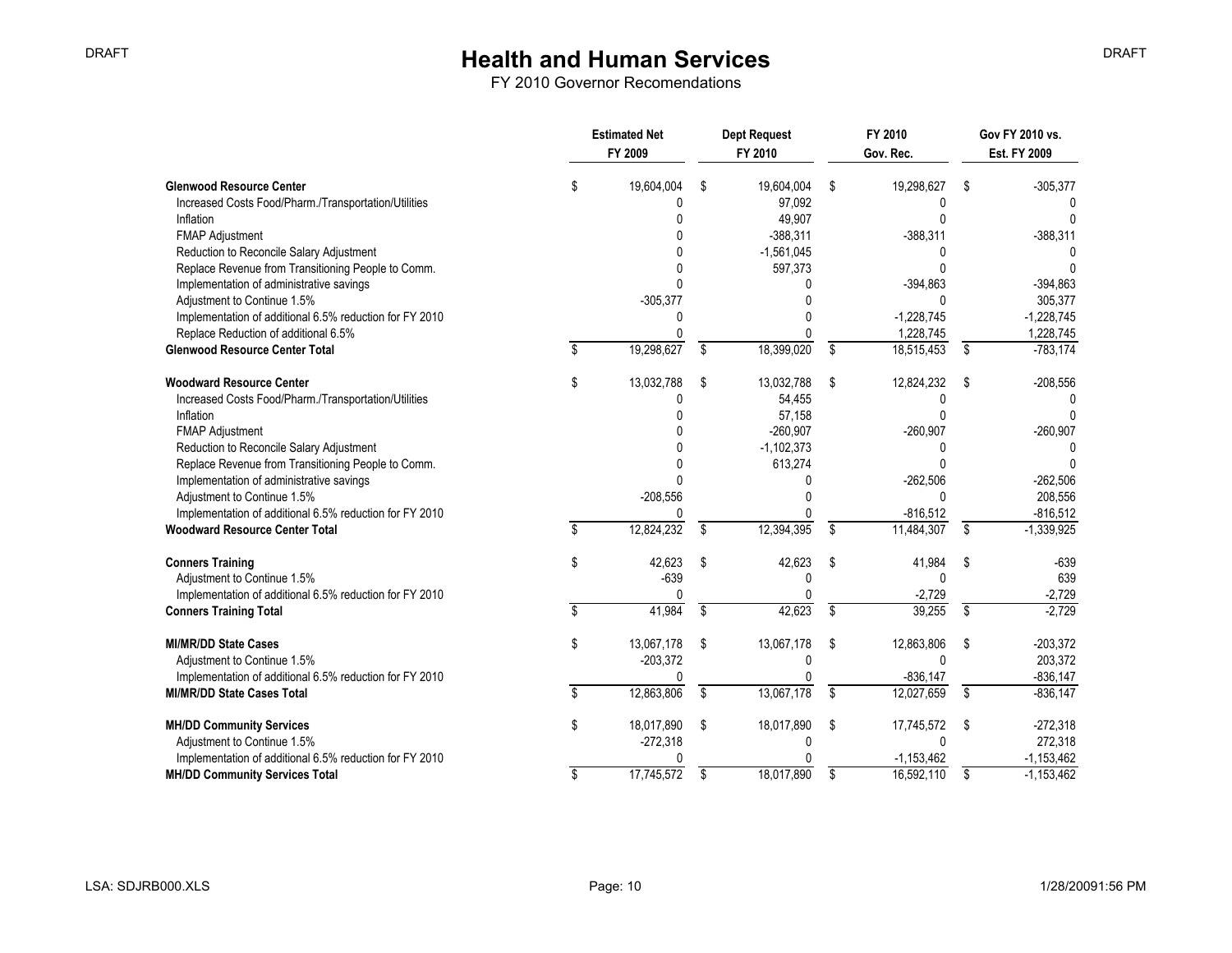|                                                         | <b>Estimated Net</b><br>FY 2009 |    | <b>Dept Request</b><br>FY 2010 | FY 2010<br>Gov. Rec. |                         | Gov FY 2010 vs.<br>Est. FY 2009 |  |
|---------------------------------------------------------|---------------------------------|----|--------------------------------|----------------------|-------------------------|---------------------------------|--|
| <b>Glenwood Resource Center</b>                         | \$<br>19,604,004                | \$ | 19,604,004                     | \$<br>19,298,627     | \$                      | $-305,377$                      |  |
| Increased Costs Food/Pharm./Transportation/Utilities    | Ŋ                               |    | 97,092                         |                      |                         |                                 |  |
| Inflation                                               |                                 |    | 49,907                         |                      |                         |                                 |  |
| <b>FMAP Adjustment</b>                                  |                                 |    | $-388,311$                     | $-388,311$           |                         | $-388,311$                      |  |
| Reduction to Reconcile Salary Adjustment                |                                 |    | $-1,561,045$                   | O                    |                         |                                 |  |
| Replace Revenue from Transitioning People to Comm.      |                                 |    | 597,373                        |                      |                         |                                 |  |
| Implementation of administrative savings                |                                 |    |                                | $-394,863$           |                         | $-394,863$                      |  |
| Adjustment to Continue 1.5%                             | $-305,377$                      |    |                                | $\Omega$             |                         | 305,377                         |  |
| Implementation of additional 6.5% reduction for FY 2010 |                                 |    |                                | $-1,228,745$         |                         | $-1,228,745$                    |  |
| Replace Reduction of additional 6.5%                    | U                               |    |                                | 1,228,745            |                         | 1,228,745                       |  |
| <b>Glenwood Resource Center Total</b>                   | 19,298,627                      | \$ | 18,399,020                     | \$<br>18,515,453     | \$                      | $-783,174$                      |  |
| <b>Woodward Resource Center</b>                         | \$<br>13,032,788                | \$ | 13,032,788                     | \$<br>12,824,232     | \$                      | $-208,556$                      |  |
| Increased Costs Food/Pharm./Transportation/Utilities    | U                               |    | 54,455                         |                      |                         |                                 |  |
| Inflation                                               |                                 |    | 57,158                         |                      |                         |                                 |  |
| <b>FMAP Adjustment</b>                                  |                                 |    | $-260.907$                     | $-260,907$           |                         | $-260,907$                      |  |
| Reduction to Reconcile Salary Adjustment                |                                 |    | $-1,102,373$                   |                      |                         |                                 |  |
| Replace Revenue from Transitioning People to Comm.      |                                 |    | 613,274                        |                      |                         |                                 |  |
| Implementation of administrative savings                |                                 |    |                                | $-262,506$           |                         | $-262,506$                      |  |
| Adjustment to Continue 1.5%                             | $-208,556$                      |    |                                | $\Omega$             |                         | 208,556                         |  |
| Implementation of additional 6.5% reduction for FY 2010 | U                               |    |                                | $-816,512$           |                         | $-816,512$                      |  |
| <b>Woodward Resource Center Total</b>                   | 12,824,232                      | \$ | 12,394,395                     | \$<br>11,484,307     | \$                      | $-1,339,925$                    |  |
| <b>Conners Training</b>                                 | \$<br>42,623                    | S  | 42,623                         | \$<br>41,984         | \$                      | $-639$                          |  |
| Adjustment to Continue 1.5%                             | $-639$                          |    | 0                              | 0                    |                         | 639                             |  |
| Implementation of additional 6.5% reduction for FY 2010 | 0                               |    |                                | $-2,729$             |                         | $-2,729$                        |  |
| <b>Conners Training Total</b>                           | 41,984                          | \$ | 42,623                         | \$<br>39,255         | \$                      | $-2,729$                        |  |
| <b>MI/MR/DD State Cases</b>                             | \$<br>13,067,178                | \$ | 13,067,178                     | \$<br>12,863,806     | \$                      | $-203,372$                      |  |
| Adjustment to Continue 1.5%                             | $-203,372$                      |    | <sup>0</sup>                   | $\Omega$             |                         | 203,372                         |  |
| Implementation of additional 6.5% reduction for FY 2010 | 0                               |    |                                | $-836, 147$          |                         | $-836, 147$                     |  |
| <b>MI/MR/DD State Cases Total</b>                       | 12,863,806                      | \$ | 13,067,178                     | \$<br>12,027,659     | $\overline{\mathbf{s}}$ | $-836, 147$                     |  |
| <b>MH/DD Community Services</b>                         | \$<br>18,017,890                | \$ | 18,017,890                     | \$<br>17,745,572     | \$                      | $-272,318$                      |  |
| Adjustment to Continue 1.5%                             | $-272,318$                      |    | 0                              | $\mathbf{0}$         |                         | 272,318                         |  |
| Implementation of additional 6.5% reduction for FY 2010 |                                 |    |                                | $-1, 153, 462$       |                         | $-1,153,462$                    |  |
| <b>MH/DD Community Services Total</b>                   | \$<br>17,745,572                | \$ | 18,017,890                     | \$<br>16,592,110     | \$                      | $-1,153,462$                    |  |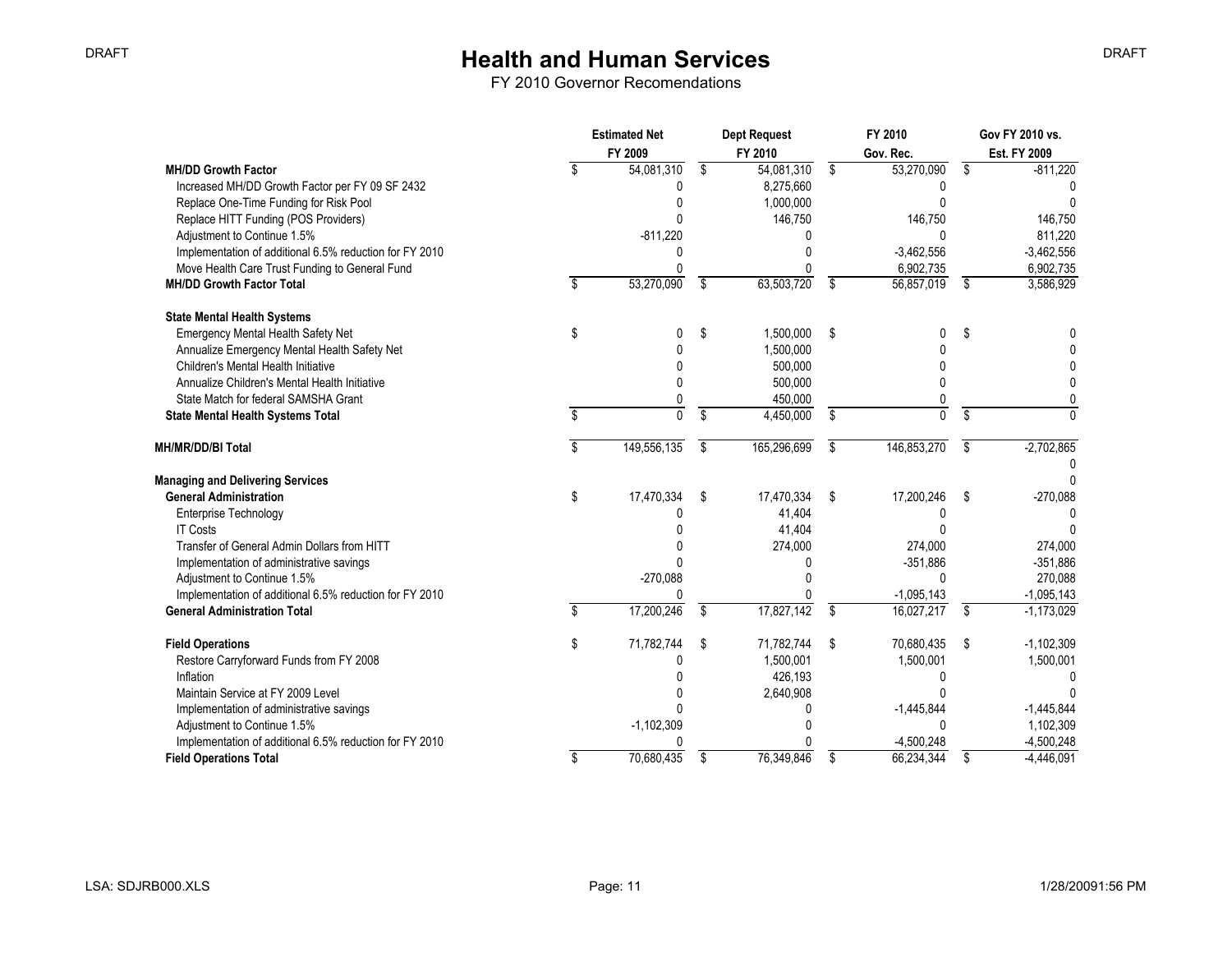|                                                         | <b>Estimated Net</b><br>FY 2009 | <b>Dept Request</b><br>FY 2010 |    | FY 2010<br>Gov. Rec. |                         | Gov FY 2010 vs.<br>Est. FY 2009 |
|---------------------------------------------------------|---------------------------------|--------------------------------|----|----------------------|-------------------------|---------------------------------|
| <b>MH/DD Growth Factor</b>                              | 54,081,310                      | \$<br>54,081,310               | \$ | 53,270,090           | $\overline{\mathsf{s}}$ | $-811,220$                      |
| Increased MH/DD Growth Factor per FY 09 SF 2432         | U                               | 8,275,660                      |    | 0                    |                         |                                 |
| Replace One-Time Funding for Risk Pool                  |                                 | 1,000,000                      |    |                      |                         | <sup>0</sup>                    |
| Replace HITT Funding (POS Providers)                    |                                 | 146,750                        |    | 146,750              |                         | 146,750                         |
| Adjustment to Continue 1.5%                             | $-811,220$                      |                                |    | $\Omega$             |                         | 811,220                         |
| Implementation of additional 6.5% reduction for FY 2010 |                                 | U                              |    | $-3,462,556$         |                         | $-3,462,556$                    |
| Move Health Care Trust Funding to General Fund          |                                 |                                |    | 6,902,735            |                         | 6,902,735                       |
| <b>MH/DD Growth Factor Total</b>                        | 53,270,090                      | \$<br>63,503,720               | \$ | 56,857,019           | \$                      | 3,586,929                       |
| <b>State Mental Health Systems</b>                      |                                 |                                |    |                      |                         |                                 |
| Emergency Mental Health Safety Net                      | \$                              | \$<br>1,500,000                | \$ | 0                    | \$                      |                                 |
| Annualize Emergency Mental Health Safety Net            |                                 | 1,500,000                      |    |                      |                         |                                 |
| Children's Mental Health Initiative                     |                                 | 500,000                        |    |                      |                         |                                 |
| Annualize Children's Mental Health Initiative           | U                               | 500,000                        |    |                      |                         |                                 |
| State Match for federal SAMSHA Grant                    |                                 | 450,000                        |    |                      |                         |                                 |
| <b>State Mental Health Systems Total</b>                | $\mathbf{0}$                    | \$<br>4,450,000                | \$ | $\overline{0}$       | \$                      |                                 |
| MH/MR/DD/BI Total                                       | 149,556,135                     | \$<br>165,296,699              | S  | 146,853,270          | \$                      | $-2,702,865$                    |
|                                                         |                                 |                                |    |                      |                         |                                 |
| <b>Managing and Delivering Services</b>                 |                                 |                                |    |                      |                         | n                               |
| <b>General Administration</b>                           | \$<br>17,470,334                | \$<br>17,470,334               | \$ | 17,200,246           | \$                      | $-270,088$                      |
| <b>Enterprise Technology</b>                            |                                 | 41,404                         |    |                      |                         |                                 |
| <b>IT Costs</b>                                         |                                 | 41,404                         |    |                      |                         |                                 |
| Transfer of General Admin Dollars from HITT             |                                 | 274,000                        |    | 274,000              |                         | 274,000                         |
| Implementation of administrative savings                |                                 | U                              |    | $-351,886$           |                         | $-351,886$                      |
| Adjustment to Continue 1.5%                             | $-270,088$                      |                                |    | $\Omega$             |                         | 270,088                         |
| Implementation of additional 6.5% reduction for FY 2010 |                                 |                                |    | $-1,095,143$         |                         | $-1,095,143$                    |
| <b>General Administration Total</b>                     | 17,200,246                      | \$<br>17,827,142               | \$ | 16,027,217           | $\overline{\mathbf{s}}$ | $-1,173,029$                    |
| <b>Field Operations</b>                                 | \$<br>71,782,744                | \$<br>71,782,744               | \$ | 70,680,435           | \$                      | $-1,102,309$                    |
| Restore Carryforward Funds from FY 2008                 |                                 | 1,500,001                      |    | 1,500,001            |                         | 1,500,001                       |
| Inflation                                               |                                 | 426,193                        |    | 0                    |                         |                                 |
| Maintain Service at FY 2009 Level                       |                                 | 2,640,908                      |    |                      |                         |                                 |
| Implementation of administrative savings                |                                 | U                              |    | $-1,445,844$         |                         | $-1,445,844$                    |
| Adjustment to Continue 1.5%                             | $-1,102,309$                    |                                |    | $\mathbf{0}$         |                         | 1,102,309                       |
| Implementation of additional 6.5% reduction for FY 2010 |                                 |                                |    | $-4,500,248$         |                         | $-4,500,248$                    |
| <b>Field Operations Total</b>                           | \$<br>70,680,435                | \$<br>76,349,846               | \$ | 66,234,344           | \$                      | $-4,446,091$                    |